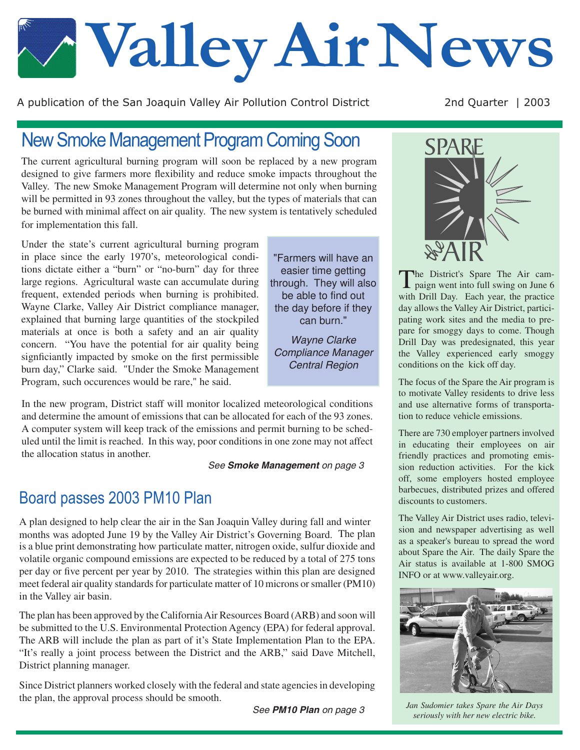# **Valley Air News**

A publication of the San Joaquin Valley Air Pollution Control District 2nd Quarter | 2003

## New Smoke Management Program Coming Soon

The current agricultural burning program will soon be replaced by a new program designed to give farmers more flexibility and reduce smoke impacts throughout the Valley. The new Smoke Management Program will determine not only when burning will be permitted in 93 zones throughout the valley, but the types of materials that can be burned with minimal affect on air quality. The new system is tentatively scheduled for implementation this fall.

Under the state's current agricultural burning program in place since the early 1970's, meteorological conditions dictate either a "burn" or "no-burn" day for three large regions. Agricultural waste can accumulate during frequent, extended periods when burning is prohibited. Wayne Clarke, Valley Air District compliance manager, explained that burning large quantities of the stockpiled materials at once is both a safety and an air quality concern. "You have the potential for air quality being signficiantly impacted by smoke on the first permissible burn day," Clarke said. "Under the Smoke Management Program, such occurences would be rare," he said.

In the new program, District staff will monitor localized meteorological conditions and determine the amount of emissions that can be allocated for each of the 93 zones. A computer system will keep track of the emissions and permit burning to be scheduled until the limit is reached. In this way, poor conditions in one zone may not affect the allocation status in another.

*See Smoke Management on page 3*

"Farmers will have an easier time getting through. They will also be able to find out the day before if they can burn."

*Wayne Clarke Compliance Manager Central Region*

## Board passes 2003 PM10 Plan

A plan designed to help clear the air in the San Joaquin Valley during fall and winter months was adopted June 19 by the Valley Air District's Governing Board. The plan is a blue print demonstrating how particulate matter, nitrogen oxide, sulfur dioxide and volatile organic compound emissions are expected to be reduced by a total of 275 tons per day or five percent per year by 2010. The strategies within this plan are designed meet federal air quality standards for particulate matter of 10 microns or smaller (PM10) in the Valley air basin.

The plan has been approved by the California Air Resources Board (ARB) and soon will be submitted to the U.S. Environmental Protection Agency (EPA) for federal approval. The ARB will include the plan as part of it's State Implementation Plan to the EPA. "It's really a joint process between the District and the ARB," said Dave Mitchell, District planning manager.

Since District planners worked closely with the federal and state agencies in developing the plan, the approval process should be smooth.

*See PM10 Plan on page 3*



The District's Spare The Air cam-paign went into full swing on June 6 with Drill Day. Each year, the practice day allows the Valley Air District, participating work sites and the media to prepare for smoggy days to come. Though Drill Day was predesignated, this year the Valley experienced early smoggy conditions on the kick off day.

The focus of the Spare the Air program is to motivate Valley residents to drive less and use alternative forms of transportation to reduce vehicle emissions.

There are 730 employer partners involved in educating their employees on air friendly practices and promoting emission reduction activities. For the kick off, some employers hosted employee barbecues, distributed prizes and offered discounts to customers.

The Valley Air District uses radio, television and newspaper advertising as well as a speaker's bureau to spread the word about Spare the Air. The daily Spare the Air status is available at 1-800 SMOG INFO or at www.valleyair.org.



*Jan Sudomier takes Spare the Air Days seriously with her new electric bike.*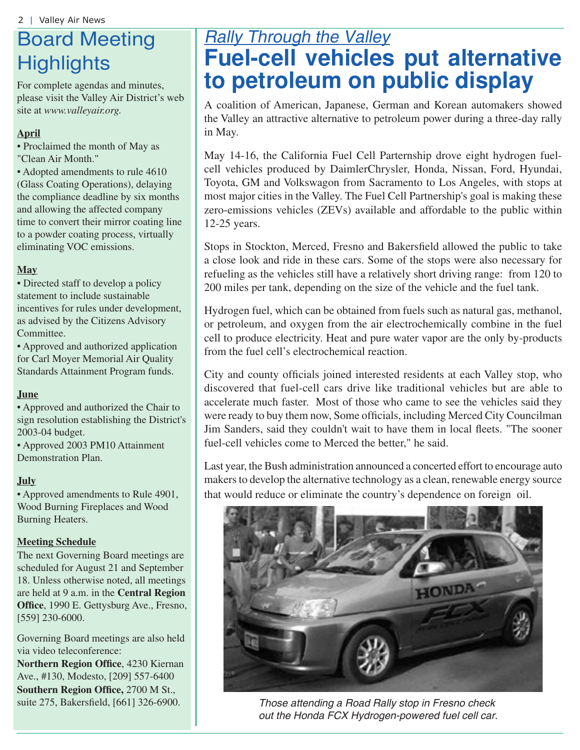## Board Meeting **Highlights**

For complete agendas and minutes, please visit the Valley Air District's web site at *www.valleyair.org.*

### **April**

• Proclaimed the month of May as "Clean Air Month."

• Adopted amendments to rule 4610 (Glass Coating Operations), delaying the compliance deadline by six months and allowing the affected company time to convert their mirror coating line to a powder coating process, virtually eliminating VOC emissions.

### **May**

• Directed staff to develop a policy statement to include sustainable incentives for rules under development, as advised by the Citizens Advisory Committee.

• Approved and authorized application for Carl Moyer Memorial Air Quality Standards Attainment Program funds.

#### **June**

• Approved and authorized the Chair to sign resolution establishing the District's 2003-04 budget.

• Approved 2003 PM10 Attainment Demonstration Plan.

#### **July**

• Approved amendments to Rule 4901, Wood Burning Fireplaces and Wood Burning Heaters.

#### **Meeting Schedule**

The next Governing Board meetings are scheduled for August 21 and September 18. Unless otherwise noted, all meetings are held at 9 a.m. in the **Central Region Office**, 1990 E. Gettysburg Ave., Fresno, [559] 230-6000.

Governing Board meetings are also held via video teleconference:

**Northern Region Office**, 4230 Kiernan Ave., #130, Modesto, [209] 557-6400 **Southern Region Office,** 2700 M St.,

## *Rally Through the Valley* **Fuel-cell vehicles put alternative to petroleum on public display**

A coalition of American, Japanese, German and Korean automakers showed the Valley an attractive alternative to petroleum power during a three-day rally in May.

May 14-16, the California Fuel Cell Parternship drove eight hydrogen fuelcell vehicles produced by DaimlerChrysler, Honda, Nissan, Ford, Hyundai, Toyota, GM and Volkswagon from Sacramento to Los Angeles, with stops at most major cities in the Valley. The Fuel Cell Partnership's goal is making these zero-emissions vehicles (ZEVs) available and affordable to the public within 12-25 years.

Stops in Stockton, Merced, Fresno and Bakersfield allowed the public to take a close look and ride in these cars. Some of the stops were also necessary for refueling as the vehicles still have a relatively short driving range: from 120 to 200 miles per tank, depending on the size of the vehicle and the fuel tank.

Hydrogen fuel, which can be obtained from fuels such as natural gas, methanol, or petroleum, and oxygen from the air electrochemically combine in the fuel cell to produce electricity. Heat and pure water vapor are the only by-products from the fuel cell's electrochemical reaction.

City and county officials joined interested residents at each Valley stop, who discovered that fuel-cell cars drive like traditional vehicles but are able to accelerate much faster. Most of those who came to see the vehicles said they were ready to buy them now, Some officials, including Merced City Councilman Jim Sanders, said they couldn't wait to have them in local fleets. "The sooner fuel-cell vehicles come to Merced the better," he said.

Last year, the Bush administration announced a concerted effort to encourage auto makers to develop the alternative technology as a clean, renewable energy source that would reduce or eliminate the country's dependence on foreign oil.



suite 275, Bakersfield, [661] 326-6900. *Those attending a Road Rally stop in Fresno check out the Honda FCX Hydrogen-powered fuel cell car.*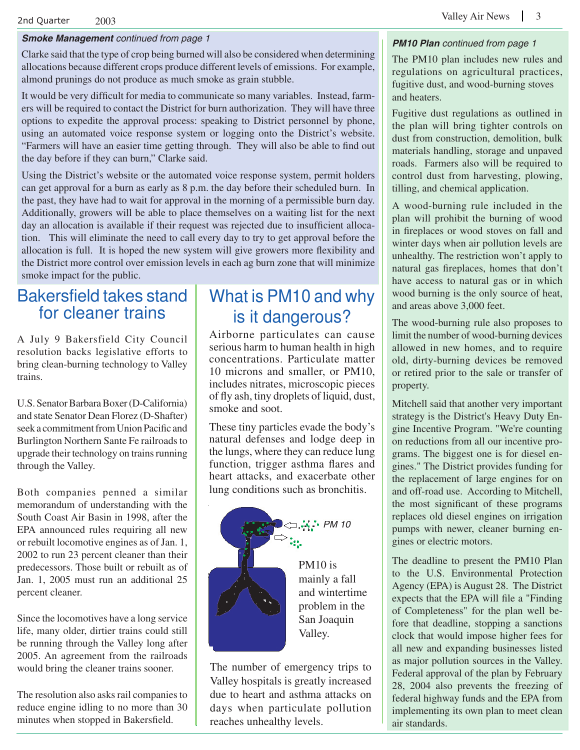#### $2$ nd Quarter  $2003$   $2003$

#### *Smoke Management continued from page 1*

Clarke said that the type of crop being burned will also be considered when determining allocations because different crops produce different levels of emissions. For example, almond prunings do not produce as much smoke as grain stubble.

It would be very difficult for media to communicate so many variables. Instead, farmers will be required to contact the District for burn authorization. They will have three options to expedite the approval process: speaking to District personnel by phone, using an automated voice response system or logging onto the District's website. "Farmers will have an easier time getting through. They will also be able to find out the day before if they can burn," Clarke said.

Using the District's website or the automated voice response system, permit holders can get approval for a burn as early as 8 p.m. the day before their scheduled burn. In the past, they have had to wait for approval in the morning of a permissible burn day. Additionally, growers will be able to place themselves on a waiting list for the next day an allocation is available if their request was rejected due to insufficient allocation. This will eliminate the need to call every day to try to get approval before the allocation is full. It is hoped the new system will give growers more flexibility and the District more control over emission levels in each ag burn zone that will minimize smoke impact for the public.

## Bakersfield takes stand for cleaner trains

A July 9 Bakersfield City Council resolution backs legislative efforts to bring clean-burning technology to Valley trains.

U.S. Senator Barbara Boxer (D-California) and state Senator Dean Florez (D-Shafter) seek a commitment from Union Pacific and Burlington Northern Sante Fe railroads to upgrade their technology on trains running through the Valley.

Both companies penned a similar memorandum of understanding with the South Coast Air Basin in 1998, after the EPA announced rules requiring all new or rebuilt locomotive engines as of Jan. 1, 2002 to run 23 percent cleaner than their predecessors. Those built or rebuilt as of Jan. 1, 2005 must run an additional 25 percent cleaner.

Since the locomotives have a long service life, many older, dirtier trains could still be running through the Valley long after 2005. An agreement from the railroads would bring the cleaner trains sooner.

The resolution also asks rail companies to reduce engine idling to no more than 30 minutes when stopped in Bakersfield.

## What is PM10 and why is it dangerous?

Airborne particulates can cause serious harm to human health in high concentrations. Particulate matter 10 microns and smaller, or PM10, includes nitrates, microscopic pieces of fly ash, tiny droplets of liquid, dust, smoke and soot.

These tiny particles evade the body's natural defenses and lodge deep in the lungs, where they can reduce lung function, trigger asthma flares and heart attacks, and exacerbate other lung conditions such as bronchitis.



mainly a fall and wintertime problem in the San Joaquin Valley.

The number of emergency trips to Valley hospitals is greatly increased due to heart and asthma attacks on days when particulate pollution reaches unhealthy levels.

#### *PM10 Plan continued from page 1*

The PM10 plan includes new rules and regulations on agricultural practices, fugitive dust, and wood-burning stoves and heaters.

Fugitive dust regulations as outlined in the plan will bring tighter controls on dust from construction, demolition, bulk materials handling, storage and unpaved roads. Farmers also will be required to control dust from harvesting, plowing, tilling, and chemical application.

A wood-burning rule included in the plan will prohibit the burning of wood in fireplaces or wood stoves on fall and winter days when air pollution levels are unhealthy. The restriction won't apply to natural gas fireplaces, homes that don't have access to natural gas or in which wood burning is the only source of heat, and areas above 3,000 feet.

The wood-burning rule also proposes to limit the number of wood-burning devices allowed in new homes, and to require old, dirty-burning devices be removed or retired prior to the sale or transfer of property.

Mitchell said that another very important strategy is the District's Heavy Duty Engine Incentive Program. "We're counting on reductions from all our incentive programs. The biggest one is for diesel engines." The District provides funding for the replacement of large engines for on and off-road use. According to Mitchell, the most significant of these programs replaces old diesel engines on irrigation pumps with newer, cleaner burning engines or electric motors.

The deadline to present the PM10 Plan to the U.S. Environmental Protection Agency (EPA) is August 28. The District expects that the EPA will file a "Finding of Completeness" for the plan well before that deadline, stopping a sanctions clock that would impose higher fees for all new and expanding businesses listed as major pollution sources in the Valley. Federal approval of the plan by February 28, 2004 also prevents the freezing of federal highway funds and the EPA from implementing its own plan to meet clean air standards.